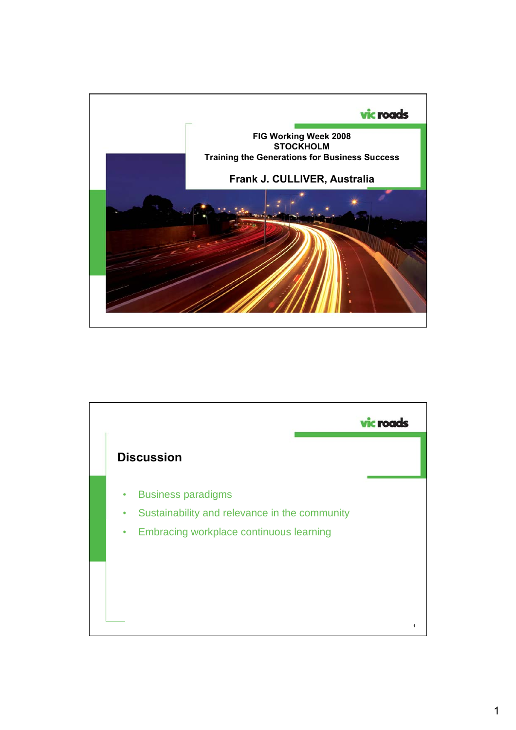

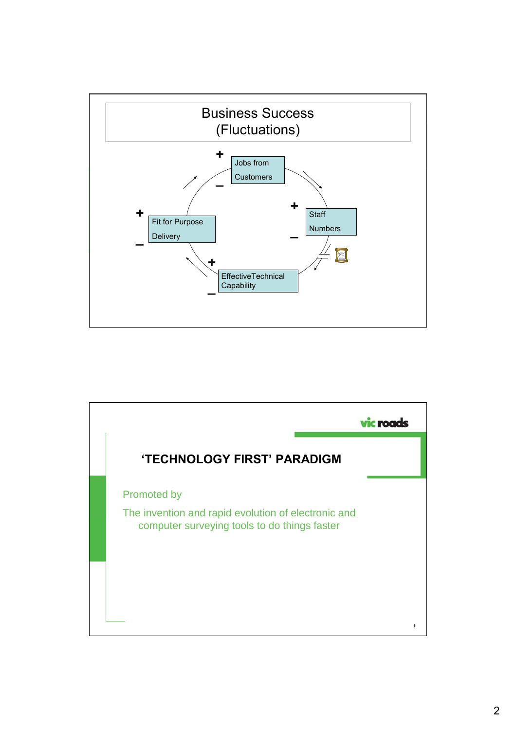

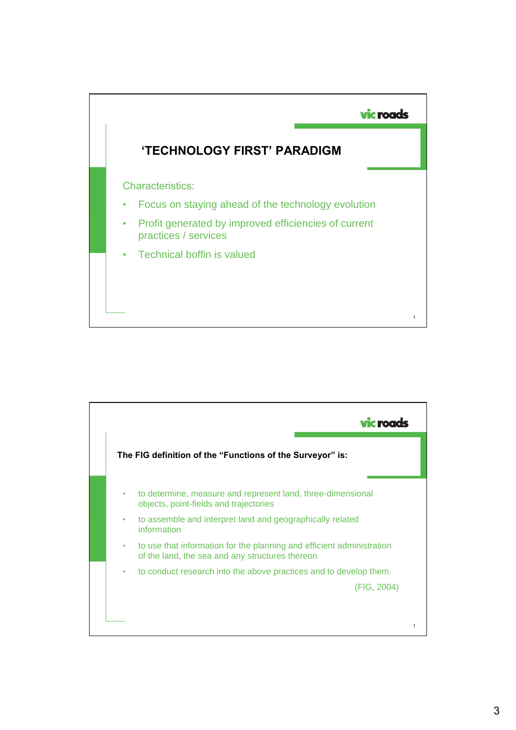

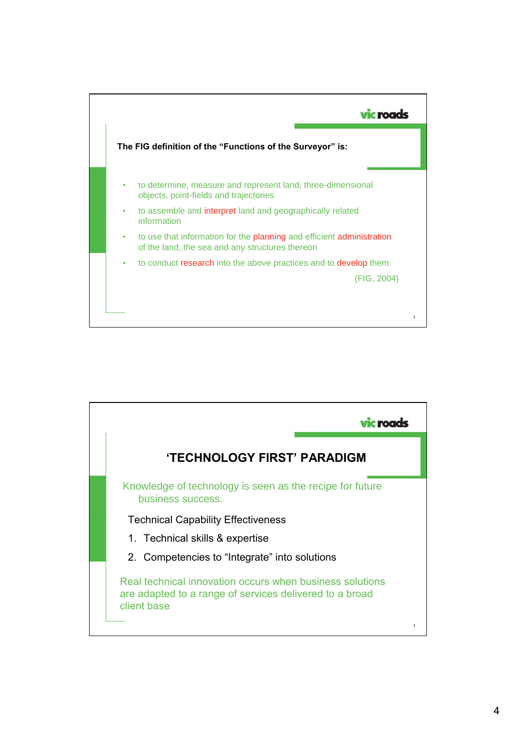

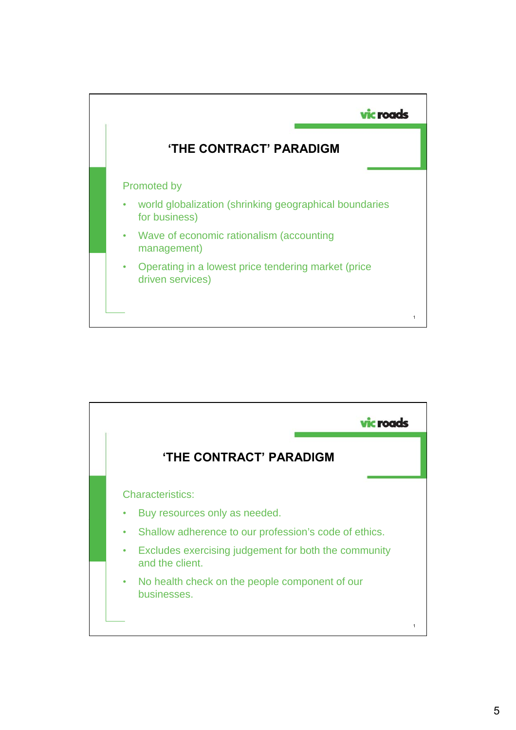

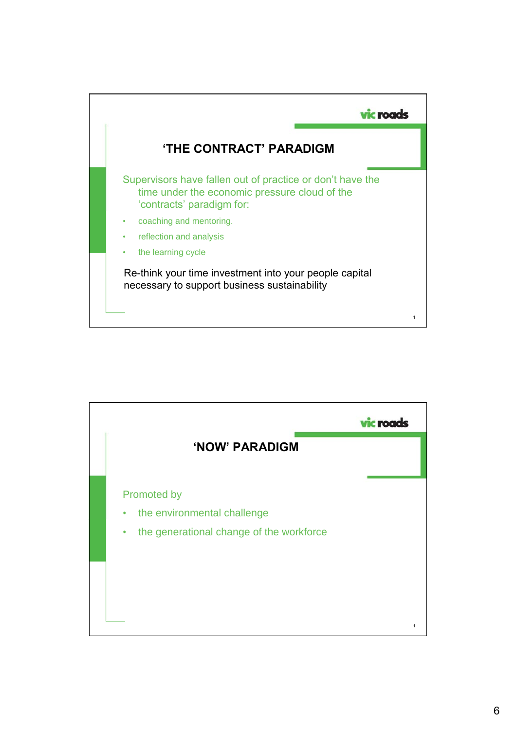

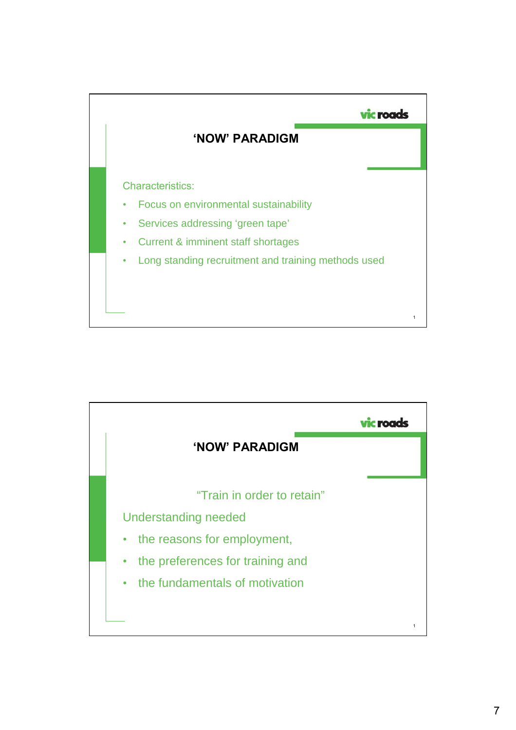